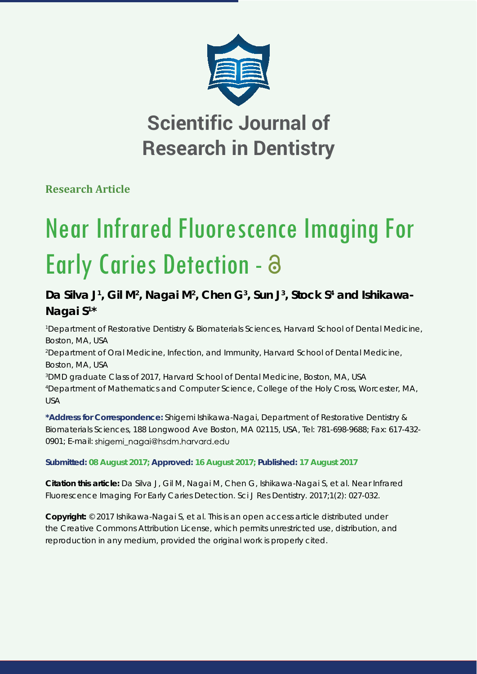

## **Scientific Journal of Research in Dentistry**

**Research Article**

# Near Infrared Fluorescence Imaging For Early Caries Detection -

### Da Silva J<sup>1</sup>, Gil M<sup>2</sup>, Nagai M<sup>2</sup>, Chen G<sup>3</sup>, Sun J<sup>3</sup>, Stock S<sup>4</sup> and Ishikawa-**Nagai S1 \***

 *Department of Restorative Dentistry & Biomaterials Sciences, Harvard School of Dental Medicine, Boston, MA, USA Department of Oral Medicine, Infection, and Immunity, Harvard School of Dental Medicine, Boston, MA, USA DMD graduate Class of 2017, Harvard School of Dental Medicine, Boston, MA, USA Department of Mathematics and Computer Science, College of the Holy Cross, Worcester, MA,* 

*USA*

**\*Address for Correspondence:** Shigemi Ishikawa-Nagai, Department of Restorative Dentistry & Biomaterials Sciences, 188 Longwood Ave Boston, MA 02115, USA, Tel: 781-698-9688; Fax: 617-432- 0901; E-mail: shigemi\_nagai@hsdm.harvard.edu

#### **Submitted: 08 August 2017; Approved: 16 August 2017; Published: 17 August 2017**

**Citation this article:** Da Silva J, Gil M, Nagai M, Chen G, Ishikawa-Nagai S, et al. Near Infrared Fluorescence Imaging For Early Caries Detection. Sci J Res Dentistry. 2017;1(2): 027-032.

**Copyright:** © 2017 Ishikawa-Nagai S, et al. This is an open access article distributed under the Creative Commons Attribution License, which permits unrestricted use, distribution, and reproduction in any medium, provided the original work is properly cited.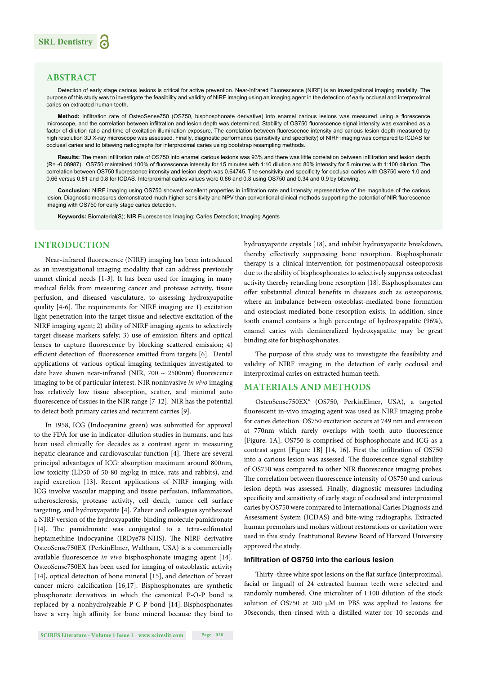#### **ABSTRACT**

Detection of early stage carious lesions is critical for active prevention. Near-Infrared Fluorescence (NIRF) is an investigational imaging modality. The purpose of this study was to investigate the feasibility and validity of NIRF imaging using an imaging agent in the detection of early occlusal and interproximal caries on extracted human teeth.

Method: Infiltration rate of OsteoSense750 (OS750, bisphosphonate derivative) into enamel carious lesions was measured using a florescence microscope, and the correlation between infiltration and lesion depth was determined. Stability of OS750 fluorescence signal intensity was examined as a factor of dilution ratio and time of excitation illumination exposure. The correlation between fluorescence intensity and carious lesion depth measured by high resolution 3D X-ray microscope was assessed. Finally, diagnostic performance (sensitivity and specificity) of NIRF imaging was compared to ICDAS for occlusal caries and to bitewing radiographs for interproximal caries using bootstrap resampling methods.

Results: The mean infiltration rate of OS750 into enamel carious lesions was 93% and there was little correlation between infiltration and lesion depth (R= -0.08987). OS750 maintained 100% of fluorescence intensity for 15 minutes with 1:10 dilution and 80% intensity for 5 minutes with 1:100 dilution. The correlation between OS750 fluorescence intensity and lesion depth was 0.64745. The sensitivity and specificity for occlusal caries with OS750 were 1.0 and 0.66 versus 0.81 and 0.8 for ICDAS. Interproximal caries values were 0.86 and 0.8 using OS750 and 0.34 and 0.9 by bitewing.

Conclusion: NIRF imaging using OS750 showed excellent properties in infiltration rate and intensity representative of the magnitude of the carious lesion. Diagnostic measures demonstrated much higher sensitivity and NPV than conventional clinical methods supporting the potential of NIR fluorescence imaging with OS750 for early stage caries detection.

**Keywords:** Biomaterial(S); NIR Fluorescence Imaging; Caries Detection; Imaging Agents

#### **INTRODUCTION**

Near-infrared fluorescence (NIRF) imaging has been introduced as an investigational imaging modality that can address previously unmet clinical needs [1-3]. It has been used for imaging in many medical fields from measuring cancer and protease activity, tissue perfusion, and diseased vasculature, to assessing hydroxyapatite quality  $[4-6]$ . The requirements for NIRF imaging are 1) excitation light penetration into the target tissue and selective excitation of the NIRF imaging agent; 2) ability of NIRF imaging agents to selectively target disease markers safely; 3) use of emission filters and optical lenses to capture fluorescence by blocking scattered emission; 4) efficient detection of fluorescence emitted from targets [6]. Dental applications of various optical imaging techniques investigated to date have shown near-infrared (NIR,  $700 \sim 2500$ nm) fluorescence imaging to be of particular interest. NIR noninvasive *in vivo* imaging has relatively low tissue absorption, scatter, and minimal auto fluorescence of tissues in the NIR range [7-12]. NIR has the potential to detect both primary caries and recurrent carries [9].

In 1958, ICG (Indocyanine green) was submitted for approval to the FDA for use in indicator-dilution studies in humans, and has been used clinically for decades as a contrast agent in measuring hepatic clearance and cardiovascular function [4]. There are several principal advantages of ICG: absorption maximum around 800nm, low toxicity (LD50 of 50-80 mg/kg in mice, rats and rabbits), and rapid excretion [13]. Recent applications of NIRF imaging with ICG involve vascular mapping and tissue perfusion, inflammation, atherosclerosis, protease activity, cell death, tumor cell surface targeting, and hydroxyapatite [4]. Zaheer and colleagues synthesized a NIRF version of the hydroxyapatite-binding molecule pamidronate [14]. The pamidronate was conjugated to a tetra-sulfonated heptamethine indocyanine (IRDye78-NHS). The NIRF derivative OsteoSense750EX (PerkinElmer, Waltham, USA) is a commercially available fluorescence *in vivo* bisphosphonate imaging agent [14]. OsteoSense750EX has been used for imaging of osteoblastic activity [14], optical detection of bone mineral [15], and detection of breast cancer micro calcification [16,17]. Bisphosphonates are synthetic phosphonate derivatives in which the canonical P-O-P bond is replaced by a nonhydrolyzable P-C-P bond [14]. Bisphosphonates have a very high affinity for bone mineral because they bind to hydroxyapatite crystals [18], and inhibit hydroxyapatite breakdown, thereby effectively suppressing bone resorption. Bisphosphonate therapy is a clinical intervention for postmenopausal osteoporosis due to the ability of bisphosphonates to selectively suppress osteoclast activity thereby retarding bone resorption [18]. Bisphosphonates can offer substantial clinical benefits in diseases such as osteoporosis, where an imbalance between osteoblast-mediated bone formation and osteoclast-mediated bone resorption exists. In addition, since tooth enamel contains a high percentage of hydroxyapatite (96%), enamel caries with demineralized hydroxyapatite may be great binding site for bisphosphonates.

The purpose of this study was to investigate the feasibility and validity of NIRF imaging in the detection of early occlusal and interproximal caries on extracted human teeth.

#### **MATERIALS AND METHODS**

OsteoSense750EX® (OS750, PerkinElmer, USA), a targeted fluorescent in-vivo imaging agent was used as NIRF imaging probe for caries detection. OS750 excitation occurs at 749 nm and emission at 770nm which rarely overlaps with tooth auto fluorescence [Figure. 1A]. OS750 is comprised of bisphosphonate and ICG as a contrast agent [Figure 1B] [14, 16]. First the infiltration of OS750 into a carious lesion was assessed. The fluorescence signal stability of OS750 was compared to other NIR fluorescence imaging probes. The correlation between fluorescence intensity of OS750 and carious lesion depth was assessed. Finally, diagnostic measures including specificity and sensitivity of early stage of occlusal and interproximal caries by OS750 were compared to International Caries Diagnosis and Assessment System (ICDAS) and bite-wing radiographs. Extracted human premolars and molars without restorations or cavitation were used in this study. Institutional Review Board of Harvard University approved the study.

#### **Infiltration of OS750 into the carious lesion**

Thirty-three white spot lesions on the flat surface (interproximal, facial or lingual) of 24 extracted human teeth were selected and randomly numbered. One microliter of 1:100 dilution of the stock solution of OS750 at 200 μM in PBS was applied to lesions for 30seconds, then rinsed with a distilled water for 10 seconds and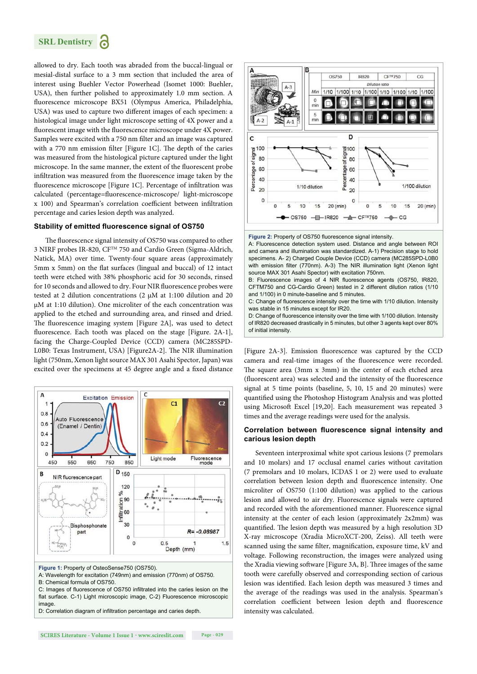

allowed to dry. Each tooth was abraded from the buccal-lingual or mesial-distal surface to a 3 mm section that included the area of interest using Buehler Vector Powerhead (Isomet 1000: Buehler, USA), then further polished to approximately 1.0 mm section. A fluorescence microscope BX51 (Olympus America, Philadelphia, USA) was used to capture two different images of each specimen: a histological image under light microscope setting of 4X power and a fluorescent image with the fluorescence microscope under 4X power. Samples were excited with a 750 nm filter and an image was captured with a 770 nm emission filter [Figure 1C]. The depth of the caries was measured from the histological picture captured under the light microscope. In the same manner, the extent of the fluorescent probe infiltration was measured from the fluorescence image taken by the fluorescence microscope [Figure 1C]. Percentage of infiltration was calculated (percentage=fluorescence-microscope/ light-microscope x 100) and Spearman's correlation coefficient between infiltration percentage and caries lesion depth was analyzed.

#### **Stability of emitted fluorescence signal of OS750**

The fluorescence signal intensity of OS750 was compared to other 3 NIRF probes IR-820, CFTM 750 and Cardio Green (Sigma-Aldrich, Natick, MA) over time. Twenty-four square areas (approximately 5mm x 5mm) on the flat surfaces (lingual and buccal) of 12 intact teeth were etched with 38% phosphoric acid for 30 seconds, rinsed for 10 seconds and allowed to dry. Four NIR fluorescence probes were tested at 2 dilution concentrations (2 μM at 1:100 dilution and 20 μM at 1:10 dilution). One microliter of the each concentration was applied to the etched and surrounding area, and rinsed and dried. The fluorescence imaging system [Figure 2A], was used to detect fluorescence. Each tooth was placed on the stage [Figure. 2A-1], facing the Charge-Coupled Device (CCD) camera (MC285SPD-L0B0: Texas Instrument, USA) [Figure2A-2]. The NIR illumination light (750nm, Xenon light source MAX 301 Asahi Spector, Japan) was excited over the specimens at 45 degree angle and a fixed distance



**Figure 1:** Property of OsteoSense750 (OS750).

A: Wavelength for excitation (749nm) and emission (770nm) of OS750.

B: Chemical formula of OS750.

C: Images of fluorescence of OS750 infiltrated into the caries lesion on the flat surface. C-1) Light microscopic image, C-2) Fluorescence microscopic image.

D: Correlation diagram of infiltration percentage and caries depth.





D: Change of fluorescence intensity over the time with 1/100 dilution. Intensity of IR820 decreased drastically in 5 minutes, but other 3 agents kept over 80% of initial intensity.

[Figure 2A-3]. Emission fluorescence was captured by the CCD camera and real-time images of the fluorescence were recorded. The square area  $(3mm \times 3mm)$  in the center of each etched area (fluorescent area) was selected and the intensity of the fluorescence signal at 5 time points (baseline, 5, 10, 15 and 20 minutes) were quantified using the Photoshop Histogram Analysis and was plotted using Microsoft Excel [19,20]. Each measurement was repeated 3 times and the average readings were used for the analysis.

#### **Correlation between fluorescence signal intensity and carious lesion depth**

Seventeen interproximal white spot carious lesions (7 premolars and 10 molars) and 17 occlusal enamel caries without cavitation (7 premolars and 10 molars, ICDAS 1 or 2) were used to evaluate correlation between lesion depth and fluorescence intensity. One microliter of OS750 (1:100 dilution) was applied to the carious lesion and allowed to air dry. Fluorescence signals were captured and recorded with the aforementioned manner. Fluorescence signal intensity at the center of each lesion (approximately 2x2mm) was quantified. The lesion depth was measured by a high resolution 3D X-ray microscope (Xradia MicroXCT-200, Zeiss). All teeth were scanned using the same filter, magnification, exposure time, kV and voltage. Following reconstruction, the images were analyzed using the Xradia viewing software [Figure 3A, B]. Three images of the same tooth were carefully observed and corresponding section of carious lesion was identified. Each lesion depth was measured 3 times and the average of the readings was used in the analysis. Spearman's correlation coefficient between lesion depth and fluorescence intensity was calculated.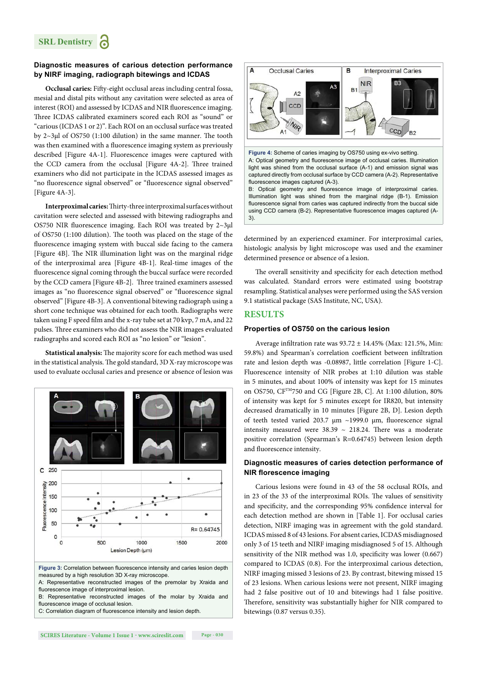#### **Diagnostic measures of carious detection performance by NIRF imaging, radiograph bitewings and ICDAS**

Occlusal caries: Fifty-eight occlusal areas including central fossa, mesial and distal pits without any cavitation were selected as area of interest (ROI) and assessed by ICDAS and NIR fluorescence imaging. Three ICDAS calibrated examiners scored each ROI as "sound" or "carious (ICDAS 1 or 2)". Each ROI on an occlusal surface was treated by  $2~3$ μl of OS750 (1:100 dilution) in the same manner. The tooth was then examined with a fluorescence imaging system as previously described [Figure 4A-1]. Fluorescence images were captured with the CCD camera from the occlusal [Figure 4A-2]. Three trained examiners who did not participate in the ICDAS assessed images as "no fluorescence signal observed" or "fluorescence signal observed" [Figure 4A-3].

Interproximal caries: Thirty-three interproximal surfaces without cavitation were selected and assessed with bitewing radiographs and OS750 NIR fluorescence imaging. Each ROI was treated by  $2~3$ μl of OS750 (1:100 dilution). The tooth was placed on the stage of the fluorescence imaging system with buccal side facing to the camera [Figure 4B]. The NIR illumination light was on the marginal ridge of the interproximal area [Figure 4B-1]. Real-time images of the fluorescence signal coming through the buccal surface were recorded by the CCD camera [Figure 4B-2]. Three trained examiners assessed images as "no fluorescence signal observed" or "fluorescence signal observed" [Figure 4B-3]. A conventional bitewing radiograph using a short cone technique was obtained for each tooth. Radiographs were taken using F speed film and the x-ray tube set at 70 kvp, 7 mA, and 22 pulses. Three examiners who did not assess the NIR images evaluated radiographs and scored each ROI as "no lesion" or "lesion".

Statistical analysis: The majority score for each method was used in the statistical analysis. The gold standard, 3D X-ray microscope was used to evaluate occlusal caries and presence or absence of lesion was



fluorescence image of interproximal lesion.

B: Representative reconstructed images of the molar by Xraida and fluorescence image of occlusal lesion.

C: Correlation diagram of fluorescence intensity and lesion depth.



light was shined from the occlusal surface (A-1) and emission signal was captured directly from occlusal surface by CCD camera (A-2). Representative fluorescence images captured (A-3). B: Optical geometry and fluorescence image of interproximal caries.

Illumination light was shined from the marginal ridge (B-1). Emission fluorescence signal from caries was captured indirectly from the buccal side using CCD camera (B-2). Representative fluorescence images captured (A-3).

determined by an experienced examiner. For interproximal caries, histologic analysis by light microscope was used and the examiner determined presence or absence of a lesion.

The overall sensitivity and specificity for each detection method was calculated. Standard errors were estimated using bootstrap resampling. Statistical analyses were performed using the SAS version 9.1 statistical package (SAS Institute, NC, USA).

#### **RESULTS**

#### **Properties of OS750 on the carious lesion**

Average infiltration rate was  $93.72 \pm 14.45\%$  (Max: 121.5%, Min: 59.8%) and Spearman's correlation coefficient between infiltration rate and lesion depth was -0.08987, little correlation [Figure 1-C]. Fluorescence intensity of NIR probes at 1:10 dilution was stable in 5 minutes, and about 100% of intensity was kept for 15 minutes on OS750, CFTM750 and CG [Figure 2B, C]. At 1:100 dilution, 80% of intensity was kept for 5 minutes except for IR820, but intensity decreased dramatically in 10 minutes [Figure 2B, D]. Lesion depth of teeth tested varied 203.7  $\mu$ m ~1999.0  $\mu$ m, fluorescence signal intensity measured were  $38.39 \sim 218.24$ . There was a moderate positive correlation (Spearman's R=0.64745) between lesion depth and fluorescence intensity.

#### **Diagnostic measures of caries detection performance of NIR florescence imaging**

Carious lesions were found in 43 of the 58 occlusal ROIs, and in 23 of the 33 of the interproximal ROIs. The values of sensitivity and specificity, and the corresponding 95% confidence interval for each detection method are shown in [Table 1]. For occlusal caries detection, NIRF imaging was in agreement with the gold standard. ICDAS missed 8 of 43 lesions. For absent caries, ICDAS misdiagnosed only 3 of 15 teeth and NIRF imaging misdiagnosed 5 of 15. Although sensitivity of the NIR method was  $1.0$ , specificity was lower  $(0.667)$ compared to ICDAS (0.8). For the interproximal carious detection, NIRF imaging missed 3 lesions of 23. By contrast, bitewing missed 15 of 23 lesions. When carious lesions were not present, NIRF imaging had 2 false positive out of 10 and bitewings had 1 false positive. Therefore, sensitivity was substantially higher for NIR compared to bitewings (0.87 versus 0.35).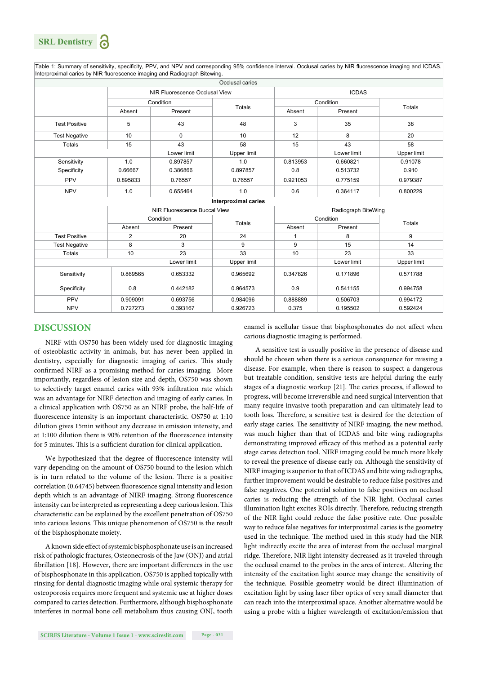**SRL Dentistry**

Table 1: Summary of sensitivity, specificity, PPV, and NPV and corresponding 95% confidence interval. Occlusal caries by NIR fluorescence imaging and ICDAS. Interproximal caries by NIR fluorescence imaging and Radiograph Bitewing.

| Occlusal caries             |                                |                              |               |                     |             |                    |
|-----------------------------|--------------------------------|------------------------------|---------------|---------------------|-------------|--------------------|
|                             | NIR Fluorescence Occlusal View |                              |               | <b>ICDAS</b>        |             |                    |
|                             | Condition                      |                              |               | Condition           |             |                    |
|                             | Absent                         | Present                      | <b>Totals</b> | Absent              | Present     | <b>Totals</b>      |
| <b>Test Positive</b>        | 5                              | 43                           | 48            | 3                   | 35          | 38                 |
| <b>Test Negative</b>        | 10                             | $\Omega$                     | 10            | 12                  | 8           | 20                 |
| <b>Totals</b>               | 15                             | 43                           | 58            | 15                  | 43          | 58                 |
|                             |                                | Lower limit                  | Upper limit   |                     | Lower limit | <b>Upper limit</b> |
| Sensitivity                 | 1.0                            | 0.897857                     | 1.0           | 0.813953            | 0.660821    | 0.91078            |
| Specificity                 | 0.66667                        | 0.386866                     | 0.897857      | 0.8                 | 0.513732    | 0.910              |
| PPV                         | 0.895833                       | 0.76557                      | 0.76557       | 0.921053            | 0.775159    | 0.979387           |
| <b>NPV</b>                  | 1.0                            | 0.655464                     | 1.0           | 0.6                 | 0.364117    | 0.800229           |
| <b>Interproximal caries</b> |                                |                              |               |                     |             |                    |
|                             |                                | NIR Fluorescence Buccal View |               | Radiograph BiteWing |             |                    |
|                             | Condition                      |                              | <b>Totals</b> | Condition           |             | <b>Totals</b>      |
|                             | Absent                         | Present                      |               | Absent              | Present     |                    |
| <b>Test Positive</b>        | 2                              | 20                           | 24            | 1                   | 8           | 9                  |
| <b>Test Negative</b>        | 8                              | 3                            | 9             | 9                   | 15          | 14                 |
| Totals                      | 10                             | 23                           | 33            | 10                  | 23          | 33                 |
|                             |                                | Lower limit                  | Upper limit   |                     | Lower limit | Upper limit        |
| Sensitivity                 | 0.869565                       | 0.653332                     | 0.965692      | 0.347826            | 0.171896    | 0.571788           |
| Specificity                 | 0.8                            | 0.442182                     | 0.964573      | 0.9                 | 0.541155    | 0.994758           |
| PPV                         | 0.909091                       | 0.693756                     | 0.984096      | 0.888889            | 0.506703    | 0.994172           |
| <b>NPV</b>                  | 0.727273                       | 0.393167                     | 0.926723      | 0.375               | 0.195502    | 0.592424           |

#### **DISCUSSION**

NIRF with OS750 has been widely used for diagnostic imaging of osteoblastic activity in animals, but has never been applied in dentistry, especially for diagnostic imaging of caries. This study confirmed NIRF as a promising method for caries imaging. More importantly, regardless of lesion size and depth, OS750 was shown to selectively target enamel caries with 93% infiltration rate which was an advantage for NIRF detection and imaging of early caries. In a clinical application with OS750 as an NIRF probe, the half-life of fluorescence intensity is an important characteristic. OS750 at 1:10 dilution gives 15min without any decrease in emission intensity, and at 1:100 dilution there is 90% retention of the fluorescence intensity for 5 minutes. This is a sufficient duration for clinical application.

We hypothesized that the degree of fluorescence intensity will vary depending on the amount of OS750 bound to the lesion which is in turn related to the volume of the lesion. There is a positive correlation (0.64745) between fluorescence signal intensity and lesion depth which is an advantage of NIRF imaging. Strong fluorescence intensity can be interpreted as representing a deep carious lesion. This characteristic can be explained by the excellent penetration of OS750 into carious lesions. This unique phenomenon of OS750 is the result of the bisphosphonate moiety.

A known side effect of systemic bisphosphonate use is an increased risk of pathologic fractures, Osteonecrosis of the Jaw (ONJ) and atrial fibrillation [18]. However, there are important differences in the use of bisphosphonate in this application. OS750 is applied topically with rinsing for dental diagnostic imaging while oral systemic therapy for osteoporosis requires more frequent and systemic use at higher doses compared to caries detection. Furthermore, although bisphosphonate interferes in normal bone cell metabolism thus causing ONJ, tooth enamel is acellular tissue that bisphosphonates do not affect when carious diagnostic imaging is performed.

A sensitive test is usually positive in the presence of disease and should be chosen when there is a serious consequence for missing a disease. For example, when there is reason to suspect a dangerous but treatable condition, sensitive tests are helpful during the early stages of a diagnostic workup [21]. The caries process, if allowed to progress, will become irreversible and need surgical intervention that many require invasive tooth preparation and can ultimately lead to tooth loss. Therefore, a sensitive test is desired for the detection of early stage caries. The sensitivity of NIRF imaging, the new method, was much higher than that of ICDAS and bite wing radiographs demonstrating improved efficacy of this method as a potential early stage caries detection tool. NIRF imaging could be much more likely to reveal the presence of disease early on. Although the sensitivity of NIRF imaging is superior to that of ICDAS and bite wing radiographs, further improvement would be desirable to reduce false positives and false negatives. One potential solution to false positives on occlusal caries is reducing the strength of the NIR light. Occlusal caries illumination light excites ROIs directly. Therefore, reducing strength of the NIR light could reduce the false positive rate. One possible way to reduce false negatives for interproximal caries is the geometry used in the technique. The method used in this study had the NIR light indirectly excite the area of interest from the occlusal marginal ridge. Therefore, NIR light intensity decreased as it traveled through the occlusal enamel to the probes in the area of interest. Altering the intensity of the excitation light source may change the sensitivity of the technique. Possible geometry would be direct illumination of excitation light by using laser fiber optics of very small diameter that can reach into the interproximal space. Another alternative would be using a probe with a higher wavelength of excitation/emission that